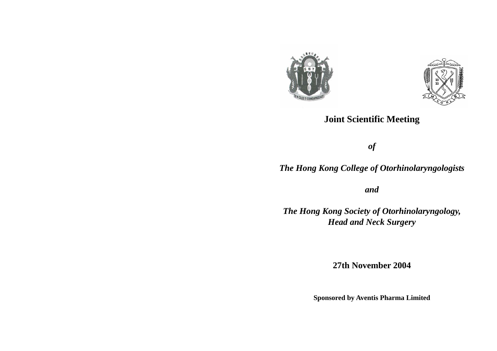

### **Joint Scientific Meeting**

*of* 

## *The Hong Kong College of Otorhinolaryngologists*

*and* 

*The Hong Kong Society of Otorhinolaryngology, Head and Neck Surgery* 

**27th November 2004** 

**Sponsored by Aventis Pharma Limited**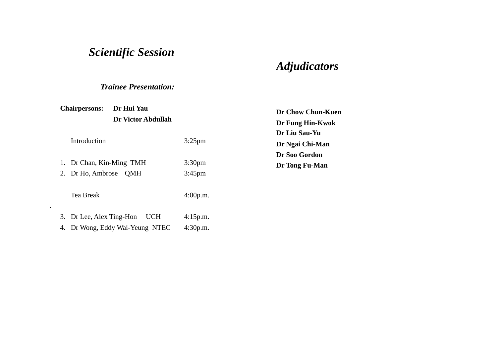# *Scientific Session*

# *Adjudicators*

#### *Trainee Presentation:*

| <b>Chairpersons:</b> |                          | Dr Hui Yau                   |                    | Dr Chow Chun-Kuen                 |  |
|----------------------|--------------------------|------------------------------|--------------------|-----------------------------------|--|
|                      |                          | <b>Dr Victor Abdullah</b>    |                    | Dr Fung Hin-Kwok<br>Dr Liu Sau-Yu |  |
| Introduction         |                          |                              |                    |                                   |  |
|                      |                          | $3:25$ pm                    | Dr Ngai Chi-Man    |                                   |  |
|                      |                          |                              |                    | Dr Soo Gordon                     |  |
|                      | Dr Chan, Kin-Ming TMH    |                              | 3:30 <sub>pm</sub> | Dr Tong Fu-Man                    |  |
|                      | 2. Dr Ho, Ambrose        | <b>QMH</b>                   | $3:45$ pm          |                                   |  |
|                      | Tea Break                |                              | 4:00p.m.           |                                   |  |
| ٠                    | 3. Dr Lee, Alex Ting-Hon | <b>UCH</b>                   | 4:15p.m.           |                                   |  |
|                      | 4.                       | Dr Wong, Eddy Wai-Yeung NTEC | 4:30p.m.           |                                   |  |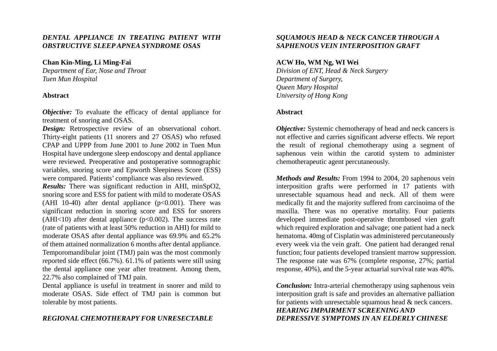#### *DENTAL APPLIANCE IN TREATING PATIENT WITH OBSTRUCTIVE SLEEP APNEA SYNDROME OSAS*

#### **Chan Kin-Ming, Li Ming-Fai**

*Department of Ear, Nose and Throat Tuen Mun Hospital* 

#### **Abstract**

*Objective:* To evaluate the efficacy of dental appliance for treatment of snoring and OSAS.

*Design:* Retrospective review of an observational cohort. Thirty-eight patients (11 snorers and 27 OSAS) who refused CPAP and UPPP from June 2001 to June 2002 in Tuen Mun Hospital have undergone sleep endoscopy and dental appliance were reviewed. Preoperative and postoperative somnographic variables, snoring score and Epworth Sleepiness Score (ESS) were compared. Patients' compliance was also reviewed.

*Results:* There was significant reduction in AHI, minSpO2, snoring score and ESS for patient with mild to moderate OSAS (AHI 10-40) after dental appliance  $(p<0.001)$ . There was significant reduction in snoring score and ESS for snorers (AHI<10) after dental appliance ( $p<0.002$ ). The success rate (rate of patients with at least 50% reduction in AHI) for mild to moderate OSAS after dental appliance was 69.9% and 65.2% of them attained normalization 6 months after dental appliance. Temporomandibular joint (TMJ) pain was the most commonly reported side effect (66.7%). 61.1% of patients were still using the dental appliance one year after treatment. Among them, 22.7% also complained of TMJ pain.

Dental appliance is useful in treatment in snorer and mild to moderate OSAS. Side effect of TMJ pain is common but tolerable by most patients.

#### *REGIONAL CHEMOTHERAPY FOR UNRESECTABLE*

#### *SQUAMOUS HEAD & NECK CANCER THROUGH A SAPHENOUS VEIN INTERPOSITION GRAFT*

#### **ACW Ho, WM Ng, WI Wei**

*Division of ENT, Head & Neck Surgery Department of Surgery, Queen Mary Hospital University of Hong Kong* 

#### **Abstract**

*Objective:* Systemic chemotherapy of head and neck cancers is not effective and carries significant adverse effects. We report the result of regional chemotherapy using a segment of saphenous vein within the carotid system to administer chemotherapeutic agent percutaneously.

*Methods and Results:* From 1994 to 2004, 20 saphenous vein interposition grafts were performed in 17 patients with unresectable squamous head and neck. All of them were medically fit and the majority suffered from carcinoima of the maxilla. There was no operative mortality. Four patients developed immediate post-operative thrombosed vien graft which required exploration and salvage; one patient had a neck hematoma. 40mg of Cisplatin was administered percutaneously every week via the vein graft. One patient had deranged renal function; four patients developed transient marrow suppression. The response rate was 67% (complete response, 27%; partial response, 40%), and the 5-year actuarial survival rate was 40%.

*Conclusion:* Intra-arterial chemotherapy using saphenous vein interposition graft is safe and provides an alternative palliation for patients with unresectable squamous head & neck cancers. *HEARING IMPAIRMENT SCREENING AND DEPRESSIVE SYMPTOMS IN AN ELDERLY CHINESE*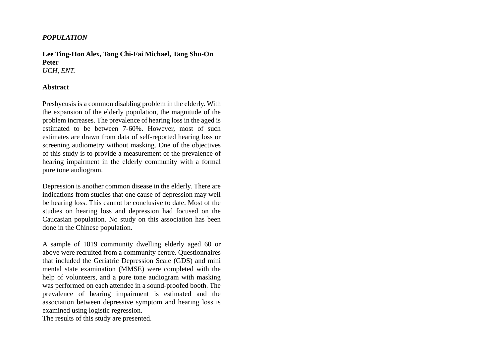#### *POPULATION*

#### **Lee Ting-Hon Alex, Tong Chi-Fai Michael, Tang Shu-On Peter** *UCH, ENT.*

#### **Abstract**

Presbycusis is a common disabling problem in the elderly. With the expansion of the elderly population, the magnitude of the problem increases. The prevalence of hearing loss in the aged is estimated to be between 7-60%. However, most of such estimates are drawn from data of self-reported hearing loss or screening audiometry without masking. One of the objectives of this study is to provide a measurement of the prevalence of hearing impairment in the elderly community with a formal pure tone audiogram.

Depression is another common disease in the elderly. There are indications from studies that one cause of depression may well be hearing loss. This cannot be conclusive to date. Most of the studies on hearing loss and depression had focused on the Caucasian population. No study on this association has been done in the Chinese population.

A sample of 1019 community dwelling elderly aged 60 or above were recruited from a community centre. Questionnaires that included the Geriatric Depression Scale (GDS) and mini mental state examination (MMSE) were completed with the help of volunteers, and a pure tone audiogram with masking was performed on each attendee in a sound-proofed booth. The prevalence of hearing impairment is estimated and the association between depressive symptom and hearing loss is examined using logistic regression.

The results of this study are presented.